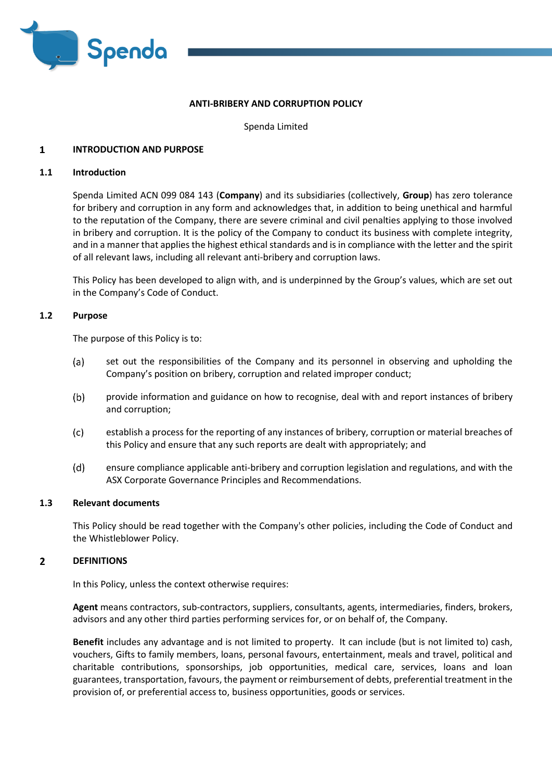

# **ANTI-BRIBERY AND CORRUPTION POLICY**

Spenda Limited

### $\mathbf{1}$ **INTRODUCTION AND PURPOSE**

# **1.1 Introduction**

Spenda Limited ACN 099 084 143 (**Company**) and its subsidiaries (collectively, **Group**) has zero tolerance for bribery and corruption in any form and acknowledges that, in addition to being unethical and harmful to the reputation of the Company, there are severe criminal and civil penalties applying to those involved in bribery and corruption. It is the policy of the Company to conduct its business with complete integrity, and in a manner that applies the highest ethical standards and is in compliance with the letter and the spirit of all relevant laws, including all relevant anti-bribery and corruption laws.

This Policy has been developed to align with, and is underpinned by the Group's values, which are set out in the Company's Code of Conduct.

# **1.2 Purpose**

The purpose of this Policy is to:

- $(a)$ set out the responsibilities of the Company and its personnel in observing and upholding the Company's position on bribery, corruption and related improper conduct;
- $(b)$ provide information and guidance on how to recognise, deal with and report instances of bribery and corruption;
- $(c)$ establish a process for the reporting of any instances of bribery, corruption or material breaches of this Policy and ensure that any such reports are dealt with appropriately; and
- $(d)$ ensure compliance applicable anti-bribery and corruption legislation and regulations, and with the ASX Corporate Governance Principles and Recommendations.

# **1.3 Relevant documents**

This Policy should be read together with the Company's other policies, including the Code of Conduct and the Whistleblower Policy.

#### $\overline{2}$ **DEFINITIONS**

In this Policy, unless the context otherwise requires:

**Agent** means contractors, sub-contractors, suppliers, consultants, agents, intermediaries, finders, brokers, advisors and any other third parties performing services for, or on behalf of, the Company.

**Benefit** includes any advantage and is not limited to property. It can include (but is not limited to) cash, vouchers, Gifts to family members, loans, personal favours, entertainment, meals and travel, political and charitable contributions, sponsorships, job opportunities, medical care, services, loans and loan guarantees, transportation, favours, the payment or reimbursement of debts, preferential treatment in the provision of, or preferential access to, business opportunities, goods or services.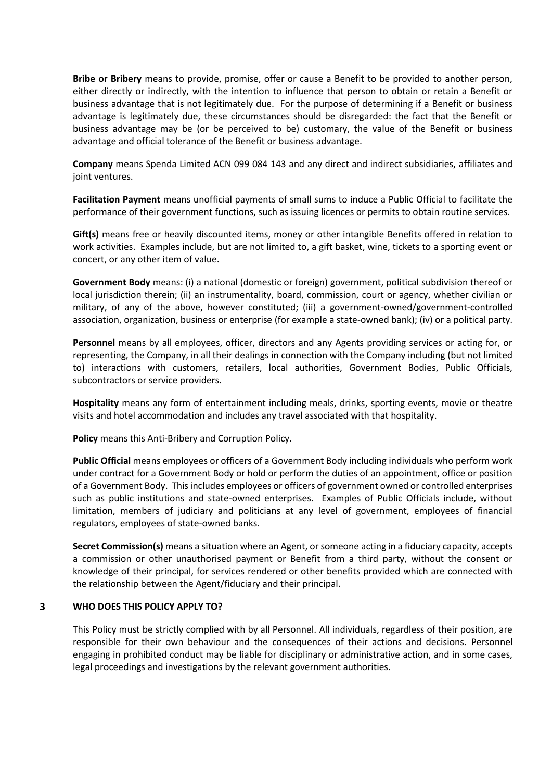**Bribe or Bribery** means to provide, promise, offer or cause a Benefit to be provided to another person, either directly or indirectly, with the intention to influence that person to obtain or retain a Benefit or business advantage that is not legitimately due. For the purpose of determining if a Benefit or business advantage is legitimately due, these circumstances should be disregarded: the fact that the Benefit or business advantage may be (or be perceived to be) customary, the value of the Benefit or business advantage and official tolerance of the Benefit or business advantage.

**Company** means Spenda Limited ACN 099 084 143 and any direct and indirect subsidiaries, affiliates and joint ventures.

**Facilitation Payment** means unofficial payments of small sums to induce a Public Official to facilitate the performance of their government functions, such as issuing licences or permits to obtain routine services.

**Gift(s)** means free or heavily discounted items, money or other intangible Benefits offered in relation to work activities. Examples include, but are not limited to, a gift basket, wine, tickets to a sporting event or concert, or any other item of value.

**Government Body** means: (i) a national (domestic or foreign) government, political subdivision thereof or local jurisdiction therein; (ii) an instrumentality, board, commission, court or agency, whether civilian or military, of any of the above, however constituted; (iii) a government-owned/government-controlled association, organization, business or enterprise (for example a state-owned bank); (iv) or a political party.

**Personnel** means by all employees, officer, directors and any Agents providing services or acting for, or representing, the Company, in all their dealings in connection with the Company including (but not limited to) interactions with customers, retailers, local authorities, Government Bodies, Public Officials, subcontractors or service providers.

**Hospitality** means any form of entertainment including meals, drinks, sporting events, movie or theatre visits and hotel accommodation and includes any travel associated with that hospitality.

**Policy** means this Anti-Bribery and Corruption Policy.

**Public Official** means employees or officers of a Government Body including individuals who perform work under contract for a Government Body or hold or perform the duties of an appointment, office or position of a Government Body. This includes employees or officers of government owned or controlled enterprises such as public institutions and state-owned enterprises. Examples of Public Officials include, without limitation, members of judiciary and politicians at any level of government, employees of financial regulators, employees of state-owned banks.

**Secret Commission(s)** means a situation where an Agent, or someone acting in a fiduciary capacity, accepts a commission or other unauthorised payment or Benefit from a third party, without the consent or knowledge of their principal, for services rendered or other benefits provided which are connected with the relationship between the Agent/fiduciary and their principal.

#### $\overline{\mathbf{3}}$ **WHO DOES THIS POLICY APPLY TO?**

This Policy must be strictly complied with by all Personnel. All individuals, regardless of their position, are responsible for their own behaviour and the consequences of their actions and decisions. Personnel engaging in prohibited conduct may be liable for disciplinary or administrative action, and in some cases, legal proceedings and investigations by the relevant government authorities.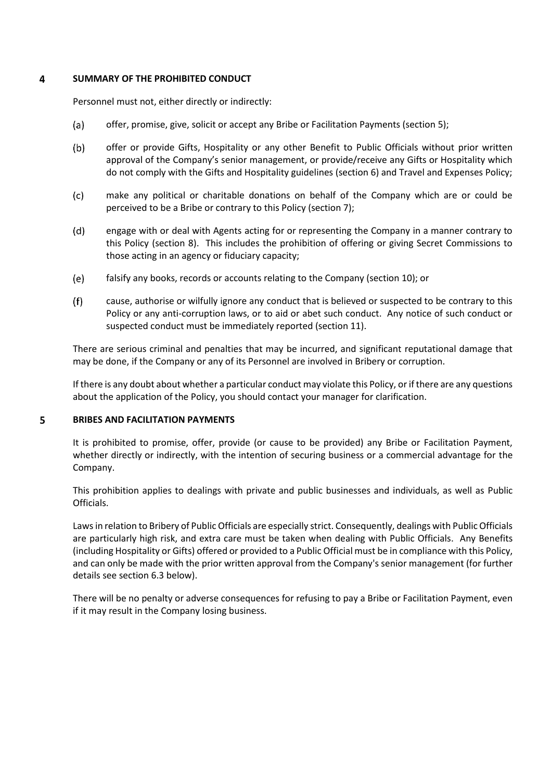### $\overline{4}$ **SUMMARY OF THE PROHIBITED CONDUCT**

Personnel must not, either directly or indirectly:

- (a) offer, promise, give, solicit or accept any Bribe or Facilitation Payments (section 5);
- $(b)$ offer or provide Gifts, Hospitality or any other Benefit to Public Officials without prior written approval of the Company's senior management, or provide/receive any Gifts or Hospitality which do not comply with the Gifts and Hospitality guidelines (section 6) and Travel and Expenses Policy;
- $(c)$ make any political or charitable donations on behalf of the Company which are or could be perceived to be a Bribe or contrary to this Policy (section 7);
- $(d)$ engage with or deal with Agents acting for or representing the Company in a manner contrary to this Policy (section 8). This includes the prohibition of offering or giving Secret Commissions to those acting in an agency or fiduciary capacity;
- $(e)$ falsify any books, records or accounts relating to the Company (section 10); or
- $(f)$ cause, authorise or wilfully ignore any conduct that is believed or suspected to be contrary to this Policy or any anti-corruption laws, or to aid or abet such conduct. Any notice of such conduct or suspected conduct must be immediately reported (section 11).

There are serious criminal and penalties that may be incurred, and significant reputational damage that may be done, if the Company or any of its Personnel are involved in Bribery or corruption.

If there is any doubt about whether a particular conduct may violate this Policy, or if there are any questions about the application of the Policy, you should contact your manager for clarification.

#### 5 **BRIBES AND FACILITATION PAYMENTS**

It is prohibited to promise, offer, provide (or cause to be provided) any Bribe or Facilitation Payment, whether directly or indirectly, with the intention of securing business or a commercial advantage for the Company.

This prohibition applies to dealings with private and public businesses and individuals, as well as Public Officials.

Laws in relation to Bribery of Public Officials are especially strict. Consequently, dealings with Public Officials are particularly high risk, and extra care must be taken when dealing with Public Officials. Any Benefits (including Hospitality or Gifts) offered or provided to a Public Official must be in compliance with this Policy, and can only be made with the prior written approval from the Company's senior management (for further details see section 6.3 below).

There will be no penalty or adverse consequences for refusing to pay a Bribe or Facilitation Payment, even if it may result in the Company losing business.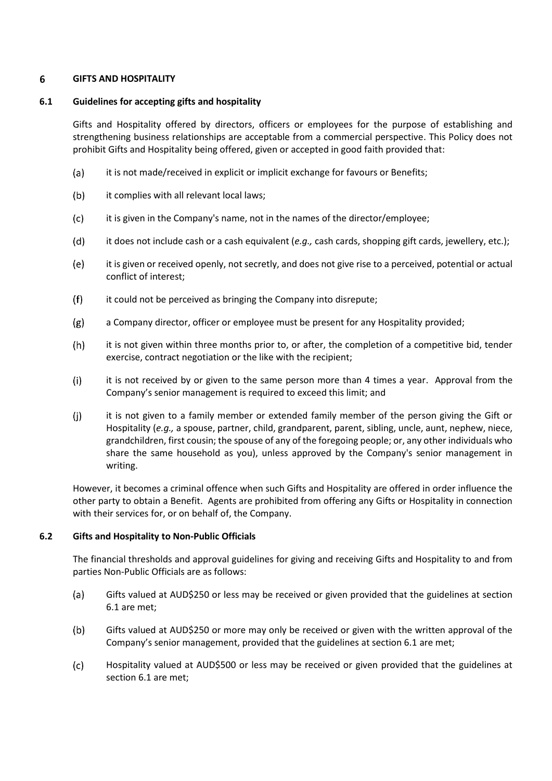### 6 **GIFTS AND HOSPITALITY**

# **6.1 Guidelines for accepting gifts and hospitality**

Gifts and Hospitality offered by directors, officers or employees for the purpose of establishing and strengthening business relationships are acceptable from a commercial perspective. This Policy does not prohibit Gifts and Hospitality being offered, given or accepted in good faith provided that:

- (a) it is not made/received in explicit or implicit exchange for favours or Benefits;
- $(b)$ it complies with all relevant local laws;
- $(c)$ it is given in the Company's name, not in the names of the director/employee;
- $(d)$ it does not include cash or a cash equivalent (*e.g.,* cash cards, shopping gift cards, jewellery, etc.);
- $(e)$ it is given or received openly, not secretly, and does not give rise to a perceived, potential or actual conflict of interest;
- $(f)$ it could not be perceived as bringing the Company into disrepute;
- $(g)$ a Company director, officer or employee must be present for any Hospitality provided;
- $(h)$ it is not given within three months prior to, or after, the completion of a competitive bid, tender exercise, contract negotiation or the like with the recipient;
- $(i)$ it is not received by or given to the same person more than 4 times a year. Approval from the Company's senior management is required to exceed this limit; and
- $(i)$ it is not given to a family member or extended family member of the person giving the Gift or Hospitality (*e.g.,* a spouse, partner, child, grandparent, parent, sibling, uncle, aunt, nephew, niece, grandchildren, first cousin; the spouse of any of the foregoing people; or, any other individuals who share the same household as you), unless approved by the Company's senior management in writing.

However, it becomes a criminal offence when such Gifts and Hospitality are offered in order influence the other party to obtain a Benefit. Agents are prohibited from offering any Gifts or Hospitality in connection with their services for, or on behalf of, the Company.

# **6.2 Gifts and Hospitality to Non-Public Officials**

The financial thresholds and approval guidelines for giving and receiving Gifts and Hospitality to and from parties Non-Public Officials are as follows:

- $(a)$ Gifts valued at AUD\$250 or less may be received or given provided that the guidelines at section 6.1 are met;
- $(b)$ Gifts valued at AUD\$250 or more may only be received or given with the written approval of the Company's senior management, provided that the guidelines at section 6.1 are met;
- $(c)$ Hospitality valued at AUD\$500 or less may be received or given provided that the guidelines at section 6.1 are met;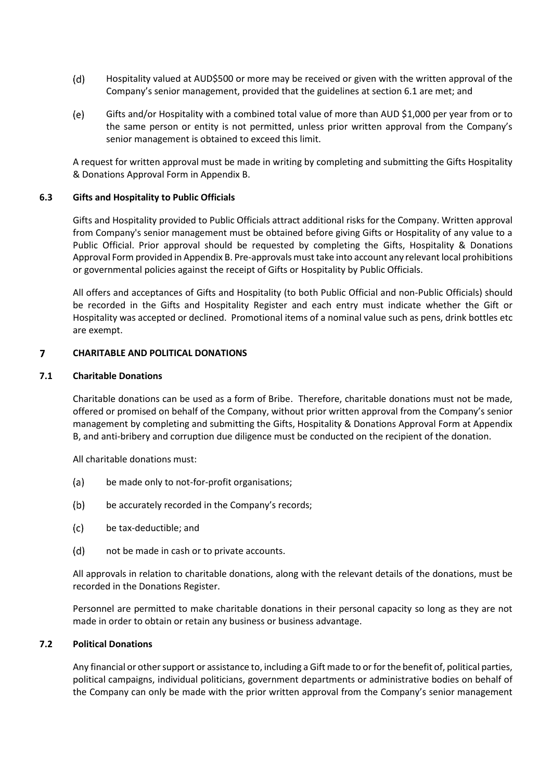- $(d)$ Hospitality valued at AUD\$500 or more may be received or given with the written approval of the Company's senior management, provided that the guidelines at section 6.1 are met; and
- (e) Gifts and/or Hospitality with a combined total value of more than AUD \$1,000 per year from or to the same person or entity is not permitted, unless prior written approval from the Company's senior management is obtained to exceed this limit.

A request for written approval must be made in writing by completing and submitting the Gifts Hospitality & Donations Approval Form in Appendix B.

## **6.3 Gifts and Hospitality to Public Officials**

Gifts and Hospitality provided to Public Officials attract additional risks for the Company. Written approval from Company's senior management must be obtained before giving Gifts or Hospitality of any value to a Public Official. Prior approval should be requested by completing the Gifts, Hospitality & Donations Approval Form provided in Appendix B. Pre-approvals must take into account any relevant local prohibitions or governmental policies against the receipt of Gifts or Hospitality by Public Officials.

All offers and acceptances of Gifts and Hospitality (to both Public Official and non-Public Officials) should be recorded in the Gifts and Hospitality Register and each entry must indicate whether the Gift or Hospitality was accepted or declined. Promotional items of a nominal value such as pens, drink bottles etc are exempt.

### $\overline{7}$ **CHARITABLE AND POLITICAL DONATIONS**

## **7.1 Charitable Donations**

Charitable donations can be used as a form of Bribe. Therefore, charitable donations must not be made, offered or promised on behalf of the Company, without prior written approval from the Company's senior management by completing and submitting the Gifts, Hospitality & Donations Approval Form at Appendix B, and anti-bribery and corruption due diligence must be conducted on the recipient of the donation.

All charitable donations must:

- $(a)$ be made only to not-for-profit organisations;
- $(b)$ be accurately recorded in the Company's records;
- $(c)$ be tax-deductible; and
- $(d)$ not be made in cash or to private accounts.

All approvals in relation to charitable donations, along with the relevant details of the donations, must be recorded in the Donations Register.

Personnel are permitted to make charitable donations in their personal capacity so long as they are not made in order to obtain or retain any business or business advantage.

# **7.2 Political Donations**

Any financial or other support or assistance to, including a Gift made to or for the benefit of, political parties, political campaigns, individual politicians, government departments or administrative bodies on behalf of the Company can only be made with the prior written approval from the Company's senior management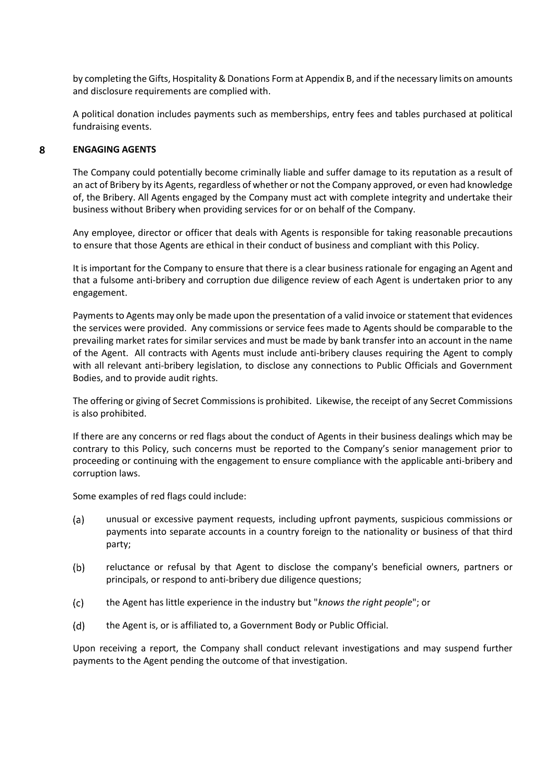by completing the Gifts, Hospitality & Donations Form at Appendix B, and if the necessary limits on amounts and disclosure requirements are complied with.

A political donation includes payments such as memberships, entry fees and tables purchased at political fundraising events.

#### 8 **ENGAGING AGENTS**

The Company could potentially become criminally liable and suffer damage to its reputation as a result of an act of Bribery by its Agents, regardless of whether or not the Company approved, or even had knowledge of, the Bribery. All Agents engaged by the Company must act with complete integrity and undertake their business without Bribery when providing services for or on behalf of the Company.

Any employee, director or officer that deals with Agents is responsible for taking reasonable precautions to ensure that those Agents are ethical in their conduct of business and compliant with this Policy.

It is important for the Company to ensure that there is a clear business rationale for engaging an Agent and that a fulsome anti-bribery and corruption due diligence review of each Agent is undertaken prior to any engagement.

Payments to Agents may only be made upon the presentation of a valid invoice or statement that evidences the services were provided. Any commissions or service fees made to Agents should be comparable to the prevailing market rates for similar services and must be made by bank transfer into an account in the name of the Agent. All contracts with Agents must include anti-bribery clauses requiring the Agent to comply with all relevant anti-bribery legislation, to disclose any connections to Public Officials and Government Bodies, and to provide audit rights.

The offering or giving of Secret Commissions is prohibited. Likewise, the receipt of any Secret Commissions is also prohibited.

If there are any concerns or red flags about the conduct of Agents in their business dealings which may be contrary to this Policy, such concerns must be reported to the Company's senior management prior to proceeding or continuing with the engagement to ensure compliance with the applicable anti-bribery and corruption laws.

Some examples of red flags could include:

- (a) unusual or excessive payment requests, including upfront payments, suspicious commissions or payments into separate accounts in a country foreign to the nationality or business of that third party;
- $(b)$ reluctance or refusal by that Agent to disclose the company's beneficial owners, partners or principals, or respond to anti-bribery due diligence questions;
- $(c)$ the Agent has little experience in the industry but "*knows the right people*"; or
- $(d)$ the Agent is, or is affiliated to, a Government Body or Public Official.

Upon receiving a report, the Company shall conduct relevant investigations and may suspend further payments to the Agent pending the outcome of that investigation.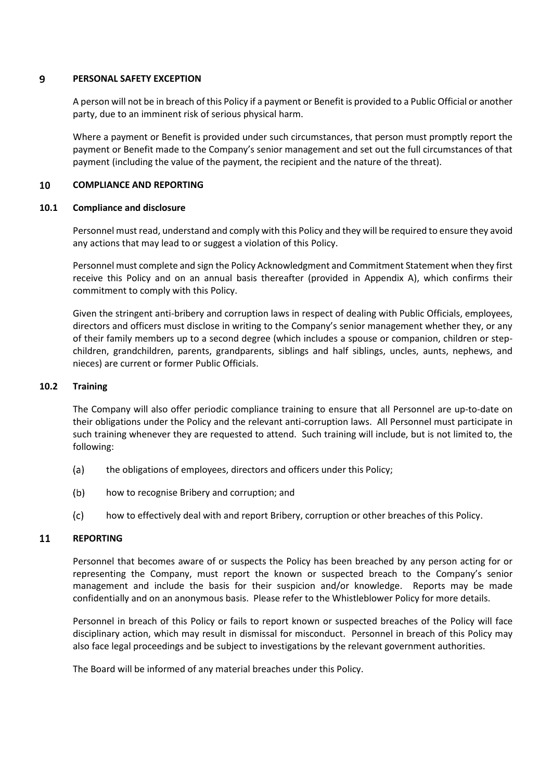#### $\overline{9}$ **PERSONAL SAFETY EXCEPTION**

A person will not be in breach of this Policy if a payment or Benefit is provided to a Public Official or another party, due to an imminent risk of serious physical harm.

Where a payment or Benefit is provided under such circumstances, that person must promptly report the payment or Benefit made to the Company's senior management and set out the full circumstances of that payment (including the value of the payment, the recipient and the nature of the threat).

#### 10 **COMPLIANCE AND REPORTING**

## **10.1 Compliance and disclosure**

Personnel must read, understand and comply with this Policy and they will be required to ensure they avoid any actions that may lead to or suggest a violation of this Policy.

Personnel must complete and sign the Policy Acknowledgment and Commitment Statement when they first receive this Policy and on an annual basis thereafter (provided in Appendix A), which confirms their commitment to comply with this Policy.

Given the stringent anti-bribery and corruption laws in respect of dealing with Public Officials, employees, directors and officers must disclose in writing to the Company's senior management whether they, or any of their family members up to a second degree (which includes a spouse or companion, children or stepchildren, grandchildren, parents, grandparents, siblings and half siblings, uncles, aunts, nephews, and nieces) are current or former Public Officials.

## **10.2 Training**

The Company will also offer periodic compliance training to ensure that all Personnel are up-to-date on their obligations under the Policy and the relevant anti-corruption laws. All Personnel must participate in such training whenever they are requested to attend. Such training will include, but is not limited to, the following:

- $(a)$ the obligations of employees, directors and officers under this Policy;
- $(b)$ how to recognise Bribery and corruption; and
- $(c)$ how to effectively deal with and report Bribery, corruption or other breaches of this Policy.

#### 11 **REPORTING**

Personnel that becomes aware of or suspects the Policy has been breached by any person acting for or representing the Company, must report the known or suspected breach to the Company's senior management and include the basis for their suspicion and/or knowledge. Reports may be made confidentially and on an anonymous basis. Please refer to the Whistleblower Policy for more details.

Personnel in breach of this Policy or fails to report known or suspected breaches of the Policy will face disciplinary action, which may result in dismissal for misconduct. Personnel in breach of this Policy may also face legal proceedings and be subject to investigations by the relevant government authorities.

The Board will be informed of any material breaches under this Policy.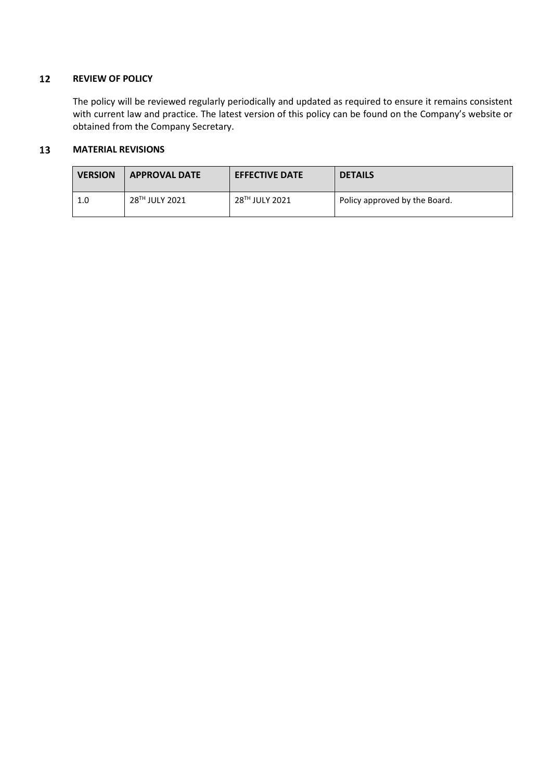### $12$ **REVIEW OF POLICY**

The policy will be reviewed regularly periodically and updated as required to ensure it remains consistent with current law and practice. The latest version of this policy can be found on the Company's website or obtained from the Company Secretary.

### 13 **MATERIAL REVISIONS**

| <b>VERSION</b> | <b>APPROVAL DATE</b> | <b>EFFECTIVE DATE</b> | <b>DETAILS</b>                |
|----------------|----------------------|-----------------------|-------------------------------|
| 1.0            | 28TH JULY 2021       | 28™ JULY 2021         | Policy approved by the Board. |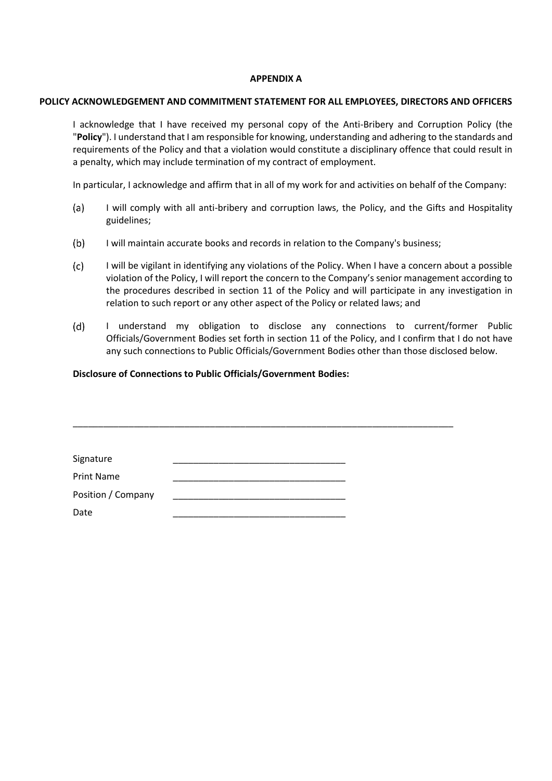# **APPENDIX A**

### **POLICY ACKNOWLEDGEMENT AND COMMITMENT STATEMENT FOR ALL EMPLOYEES, DIRECTORS AND OFFICERS**

I acknowledge that I have received my personal copy of the Anti-Bribery and Corruption Policy (the "**Policy**"). I understand that I am responsible for knowing, understanding and adhering to the standards and requirements of the Policy and that a violation would constitute a disciplinary offence that could result in a penalty, which may include termination of my contract of employment.

In particular, I acknowledge and affirm that in all of my work for and activities on behalf of the Company:

- $(a)$ I will comply with all anti-bribery and corruption laws, the Policy, and the Gifts and Hospitality guidelines;
- $(b)$ I will maintain accurate books and records in relation to the Company's business;

\_\_\_\_\_\_\_\_\_\_\_\_\_\_\_\_\_\_\_\_\_\_\_\_\_\_\_\_\_\_\_\_\_\_\_\_\_\_\_\_\_\_\_\_\_\_\_\_\_\_\_\_\_\_\_\_\_\_\_\_\_\_\_\_\_\_\_\_\_\_\_\_\_\_\_

- $(c)$ I will be vigilant in identifying any violations of the Policy. When I have a concern about a possible violation of the Policy, I will report the concern to the Company's senior management according to the procedures described in section 11 of the Policy and will participate in any investigation in relation to such report or any other aspect of the Policy or related laws; and
- $(d)$ I understand my obligation to disclose any connections to current/former Public Officials/Government Bodies set forth in section 11 of the Policy, and I confirm that I do not have any such connections to Public Officials/Government Bodies other than those disclosed below.

## **Disclosure of Connections to Public Officials/Government Bodies:**

| Signature          |  |  |
|--------------------|--|--|
| <b>Print Name</b>  |  |  |
| Position / Company |  |  |
| Date               |  |  |